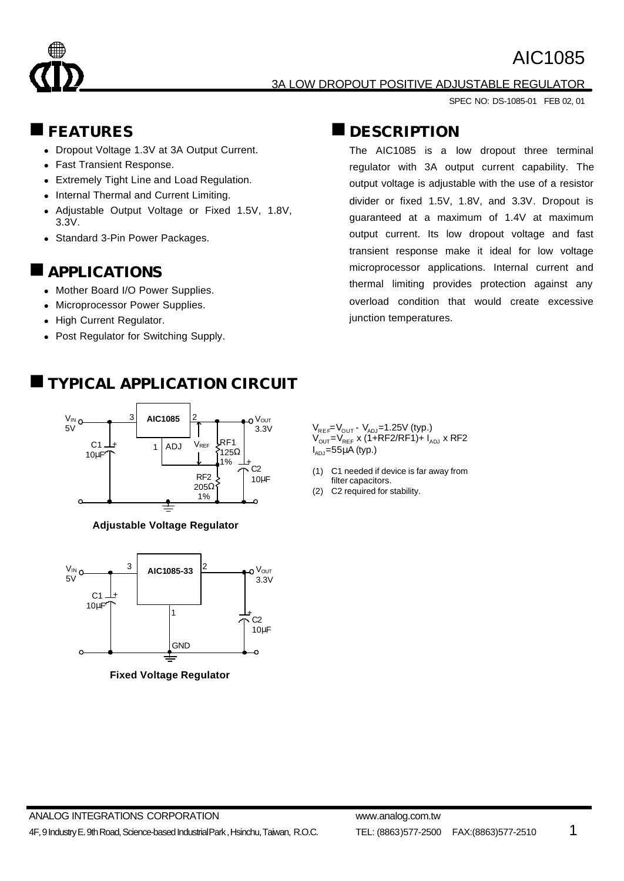



#### 3A LOW DROPOUT POSITIVE ADJUSTABLE REGULATOR

SPEC NO: DS-1085-01 FEB 02, 01

#### n**FEATURES**

- Dropout Voltage 1.3V at 3A Output Current.
- Fast Transient Response.
- Extremely Tight Line and Load Regulation.
- Internal Thermal and Current Limiting.
- Adjustable Output Voltage or Fixed 1.5V, 1.8V, 3.3V.
- Standard 3-Pin Power Packages.

#### **APPLICATIONS**

- Mother Board I/O Power Supplies.
- Microprocessor Power Supplies.
- High Current Regulator.
- Post Regulator for Switching Supply.

### n **DESCRIPTION**

The AIC1085 is a low dropout three terminal regulator with 3A output current capability. The output voltage is adjustable with the use of a resistor divider or fixed 1.5V, 1.8V, and 3.3V. Dropout is guaranteed at a maximum of 1.4V at maximum output current. Its low dropout voltage and fast transient response make it ideal for low voltage microprocessor applications. Internal current and thermal limiting provides protection against any overload condition that would create excessive junction temperatures.

 $V_{REF}=V_{OUT} - V_{ADJ}=1.25V$  (typ.)  $V_{OUT} = V_{REF}$  x (1+RF2/RF1)+  $I_{ADJ}$  x RF2  $I_{ADJ}$ =55μA (typ.)

- (1) C1 needed if device is far away from filter capacitors.
- (2) C2 required for stability.

### n**TYPICAL APPLICATION CIRCUIT**



**Adjustable Voltage Regulator**



**Fixed Voltage Regulator**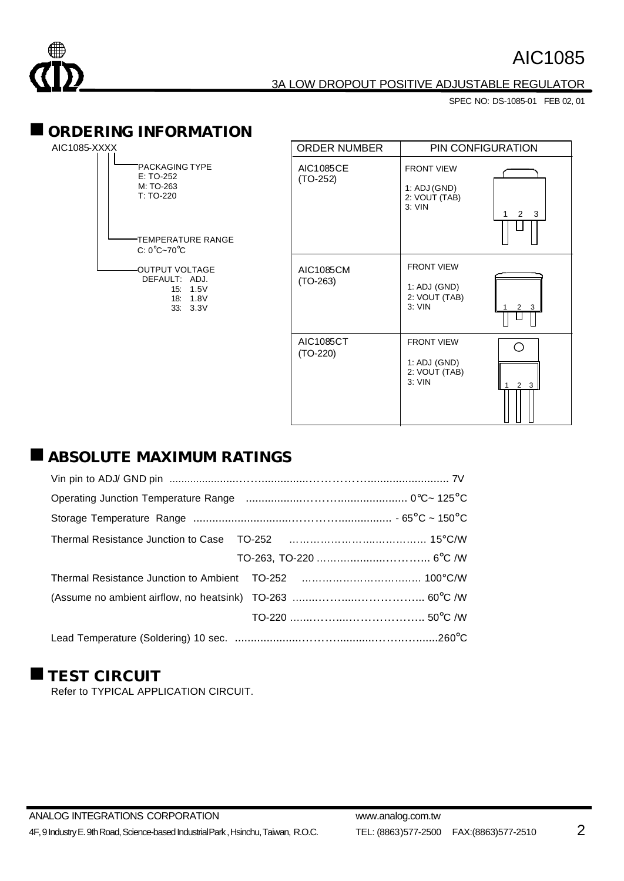

#### 3A LOW DROPOUT POSITIVE ADJUSTABLE REGULATOR

SPEC NO: DS-1085-01 FEB 02, 01

#### $\blacksquare$  **ORDERING INFORMATION**

| AIC1085-XXXX |  |  |
|--------------|--|--|
|              |  |  |

| <b>PACKAGING TYPE</b><br>$F: TO-252$<br>M: TO-263<br>$T:TO-220$    |                     |
|--------------------------------------------------------------------|---------------------|
| TEMPERATURE RANGE <sup>-</sup><br>$C: 0^{\circ}C \sim 70^{\circ}C$ |                     |
| OUTPUT VOLTAGE<br>DEFAULT: ADJ.                                    | 15:1.5V<br>18: 1.8V |

33: 3.3V

| <b>ORDER NUMBER</b>            | PIN CONFIGURATION                                              |                         |
|--------------------------------|----------------------------------------------------------------|-------------------------|
| <b>AIC1085CE</b><br>$(TO-252)$ | <b>FRONT VIEW</b><br>1: ADJ (GND)<br>2: VOUT (TAB)<br>$3:$ VIN | $\mathcal{P}$<br>3<br>1 |
| <b>AIC1085CM</b><br>$(TO-263)$ | <b>FRONT VIEW</b><br>1: ADJ (GND)<br>2: VOUT (TAB)<br>$3:$ VIN | 3                       |
| AIC1085CT<br>$(TO-220)$        | <b>FRONT VIEW</b><br>1: ADJ (GND)<br>2: VOUT (TAB)<br>$3:$ VIN | 3                       |

## $\blacksquare$  **ABSOLUTE MAXIMUM RATINGS**

### **TEST CIRCUIT**

Refer to TYPICAL APPLICATION CIRCUIT.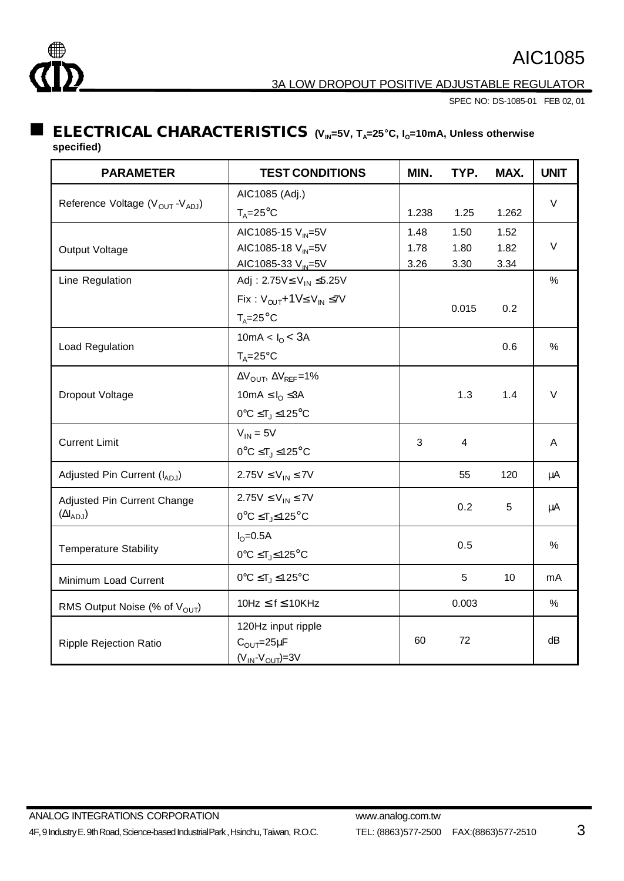

3A LOW DROPOUT POSITIVE ADJUSTABLE REGULATOR

SPEC NO: DS-1085-01 FEB 02, 01

#### **ELECTRICAL CHARACTERISTICS**  $(V_M=5V, T_A=25^{\circ}C, I_0=10mA,$  Unless otherwise **specified)**

| <b>PARAMETER</b>                                        | <b>TEST CONDITIONS</b>                                      | MIN.  | TYP.  | MAX.  | <b>UNIT</b> |
|---------------------------------------------------------|-------------------------------------------------------------|-------|-------|-------|-------------|
| Reference Voltage (V <sub>OUT</sub> -V <sub>ADJ</sub> ) | AIC1085 (Adj.)                                              |       |       |       |             |
|                                                         | $T_A = 25$ °C                                               | 1.238 | 1.25  | 1.262 | $\vee$      |
|                                                         | AIC1085-15 V <sub>IN</sub> =5V                              | 1.48  | 1.50  | 1.52  |             |
| Output Voltage                                          | AIC1085-18 V <sub>IN</sub> =5V                              | 1.78  | 1.80  | 1.82  | $\vee$      |
|                                                         | AIC1085-33 V <sub>IN</sub> =5V                              | 3.26  | 3.30  | 3.34  |             |
| Line Regulation                                         | Adj: 2.75V≤ V <sub>IN</sub> ≤5.25V                          |       |       |       | $\%$        |
|                                                         | Fix: $V_{OUT} + 1V \leq V_{IN} \leq 7V$                     |       |       |       |             |
|                                                         | $T_A = 25^\circ C$                                          |       | 0.015 | 0.2   |             |
|                                                         | 10mA < $I_0$ < 3A                                           |       |       |       |             |
| Load Regulation                                         | $T_A = 25$ °C                                               |       |       | 0.6   | %           |
|                                                         | $\Delta V_{\text{OUT}}$ , $\Delta V_{\text{REF}}$ =1%       |       |       |       |             |
| Dropout Voltage                                         | 10mA $\leq I_{\Omega} \leq 3A$                              |       | 1.3   | 1.4   | $\vee$      |
|                                                         | $0^{\circ}C \leq T_J \leq 125^{\circ}C$                     |       |       |       |             |
|                                                         | $V_{IN} = 5V$                                               | 3     | 4     |       | A           |
| <b>Current Limit</b>                                    | $0^{\circ}C \leq T_J \leq 125^{\circ}C$                     |       |       |       |             |
| Adjusted Pin Current (IADJ)                             | $2.75V \le V_{IN} \le 7V$                                   |       | 55    | 120   | μA          |
| Adjusted Pin Current Change                             | $2.75V \le V_{IN} \le 7V$                                   |       |       |       |             |
| $(\Delta I_{ADJ})$                                      | $0^{\circ}$ C $\leq$ T <sub>J</sub> $\leq$ 125 $^{\circ}$ C |       | 0.2   | 5     | μA          |
| <b>Temperature Stability</b>                            | $IO=0.5A$                                                   |       |       |       | %           |
|                                                         | $0^{\circ}C \leq T_J \leq 125^{\circ}C$                     | 0.5   |       |       |             |
| Minimum Load Current                                    | $0^{\circ}C \leq T_J \leq 125^{\circ}C$                     |       | 5     | 10    | mA          |
| RMS Output Noise (% of V <sub>OUT</sub> )               | $10Hz \le f \le 10KHz$                                      |       | 0.003 |       | %           |
|                                                         | 120Hz input ripple                                          |       |       |       |             |
| Ripple Rejection Ratio                                  | $C_{\text{OUT}} = 25 \mu F$                                 | 60    | 72    |       | dB          |
|                                                         | $(V_{IN}$ - $V_{OUT}$ )=3V                                  |       |       |       |             |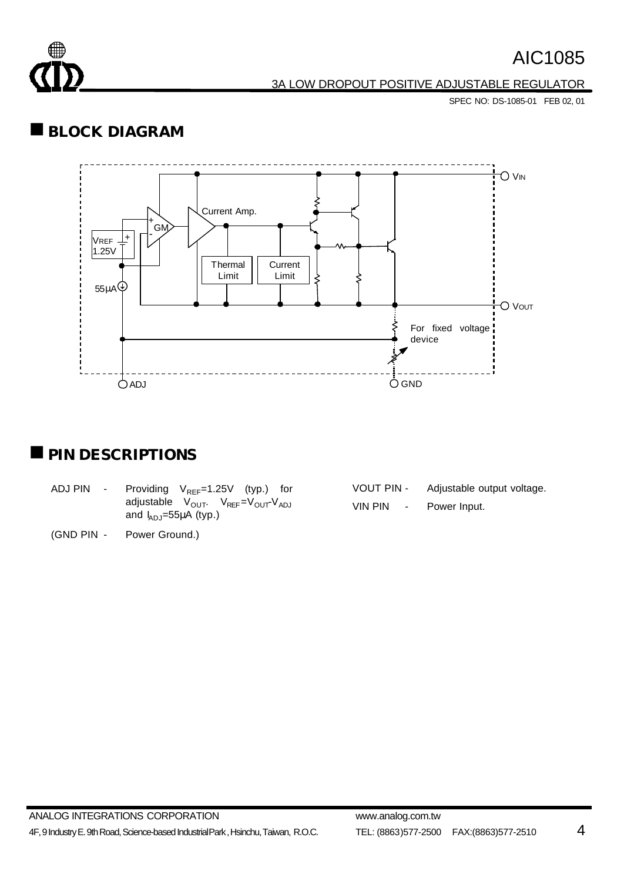

3A LOW DROPOUT POSITIVE ADJUSTABLE REGULATOR

SPEC NO: DS-1085-01 FEB 02, 01

## **BLOCK DIAGRAM**



### **PIN DESCRIPTIONS**

- ADJ PIN Providing  $V_{REF}=1.25V$  (typ.) for  $adjustable$   $V_{OUT}$   $V_{REF}=V_{OUT}V_{ADJ}$ and  $I_{ADJ}$ =55 $\mu$ A (typ.)
- (GND PIN Power Ground.)

| <b>VOUT PIN -</b>                          | Adjustable output voltage. |
|--------------------------------------------|----------------------------|
| <b>VIN PIN</b><br>$\overline{\phantom{a}}$ | Power Input.               |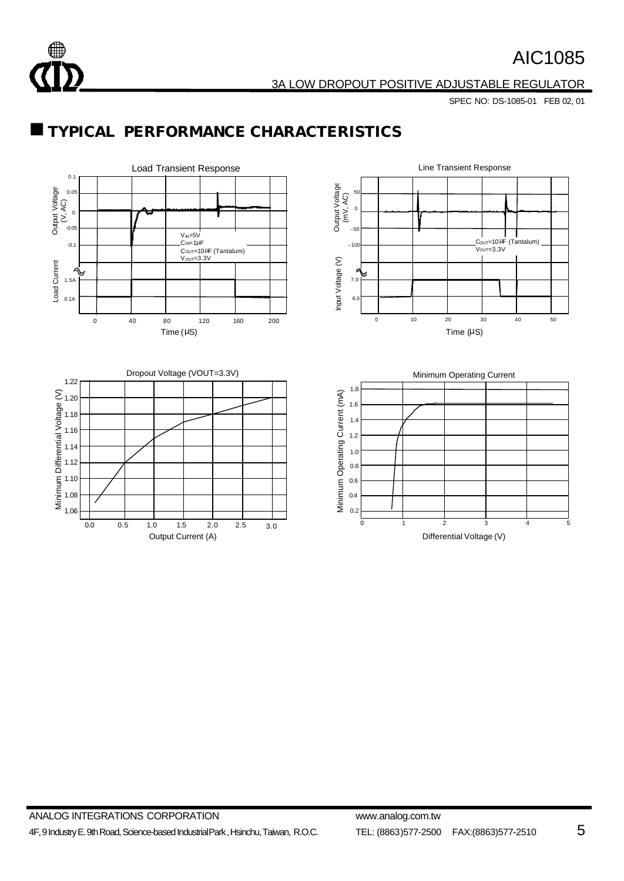

3A LOW DROPOUT POSITIVE ADJUSTABLE REGULATOR

SPEC NO: DS-1085-01 FEB 02, 01

## $\blacksquare$  **TYPICAL PERFORMANCE CHARACTERISTICS**

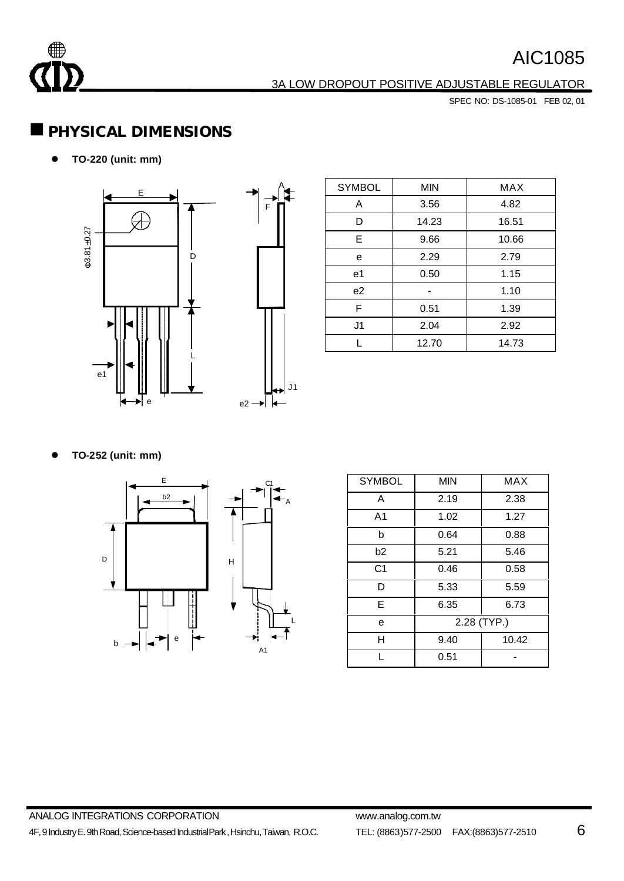

#### 3A LOW DROPOUT POSITIVE ADJUSTABLE REGULATOR

SPEC NO: DS-1085-01 FEB 02, 01

### n**PHYSICAL DIMENSIONS**

l **TO-220 (unit: mm)**



| <b>SYMBOL</b>  | <b>MIN</b> | <b>MAX</b> |
|----------------|------------|------------|
| A              | 3.56       | 4.82       |
| D              | 14.23      | 16.51      |
| E              | 9.66       | 10.66      |
| e              | 2.29       | 2.79       |
| e1             | 0.50       | 1.15       |
| e <sub>2</sub> |            | 1.10       |
| F              | 0.51       | 1.39       |
| J1             | 2.04       | 2.92       |
|                | 12.70      | 14.73      |

l **TO-252 (unit: mm)**



| <b>SYMBOL</b>  | <b>MIN</b>  | <b>MAX</b> |  |
|----------------|-------------|------------|--|
| A              | 2.19        | 2.38       |  |
| A <sub>1</sub> | 1.02        | 1.27       |  |
| b              | 0.64        | 0.88       |  |
| b2             | 5.21        | 5.46       |  |
| C <sub>1</sub> | 0.46        | 0.58       |  |
| D              | 5.33        | 5.59       |  |
| E              | 6.35        | 6.73       |  |
| е              | 2.28 (TYP.) |            |  |
| н              | 9.40        | 10.42      |  |
|                | 0.51        |            |  |